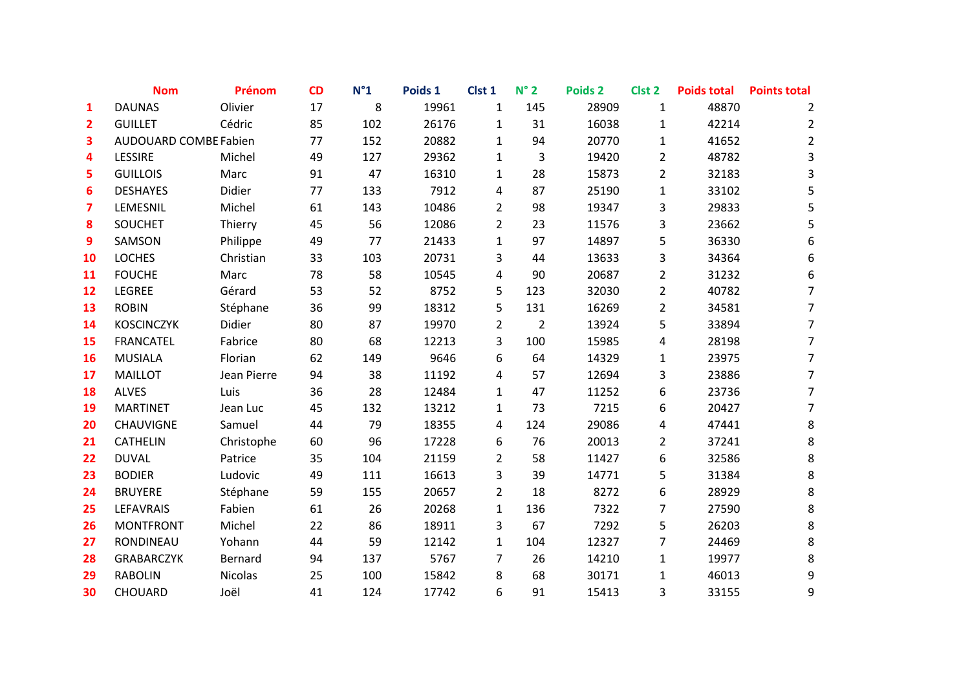|                | <b>Nom</b>                   | Prénom         | CD | $N^{\circ}1$ | Poids 1 | Clst 1         | $N^{\circ}$ 2  | Poids <sub>2</sub> | Clst <sub>2</sub> | <b>Poids total</b> | <b>Points total</b> |
|----------------|------------------------------|----------------|----|--------------|---------|----------------|----------------|--------------------|-------------------|--------------------|---------------------|
| 1              | <b>DAUNAS</b>                | Olivier        | 17 | 8            | 19961   | $\mathbf{1}$   | 145            | 28909              | $\mathbf{1}$      | 48870              | 2                   |
| $\overline{2}$ | <b>GUILLET</b>               | Cédric         | 85 | 102          | 26176   | $\mathbf{1}$   | 31             | 16038              | $\mathbf{1}$      | 42214              | $\overline{2}$      |
| 3              | <b>AUDOUARD COMBE Fabien</b> |                | 77 | 152          | 20882   | $\mathbf{1}$   | 94             | 20770              | $\mathbf{1}$      | 41652              | $\overline{2}$      |
| 4              | LESSIRE                      | Michel         | 49 | 127          | 29362   | $\mathbf{1}$   | 3              | 19420              | $\overline{2}$    | 48782              | 3                   |
| 5              | <b>GUILLOIS</b>              | Marc           | 91 | 47           | 16310   | 1              | 28             | 15873              | $\overline{2}$    | 32183              | 3                   |
| 6              | <b>DESHAYES</b>              | Didier         | 77 | 133          | 7912    | 4              | 87             | 25190              | $\mathbf{1}$      | 33102              | 5                   |
| 7              | LEMESNIL                     | Michel         | 61 | 143          | 10486   | $\overline{2}$ | 98             | 19347              | 3                 | 29833              | 5                   |
| 8              | <b>SOUCHET</b>               | Thierry        | 45 | 56           | 12086   | $\overline{2}$ | 23             | 11576              | 3                 | 23662              | 5                   |
| 9              | SAMSON                       | Philippe       | 49 | 77           | 21433   | $\mathbf{1}$   | 97             | 14897              | 5                 | 36330              | 6                   |
| 10             | <b>LOCHES</b>                | Christian      | 33 | 103          | 20731   | 3              | 44             | 13633              | 3                 | 34364              | 6                   |
| 11             | <b>FOUCHE</b>                | Marc           | 78 | 58           | 10545   | 4              | 90             | 20687              | $\overline{2}$    | 31232              | 6                   |
| 12             | LEGREE                       | Gérard         | 53 | 52           | 8752    | 5              | 123            | 32030              | $\overline{2}$    | 40782              | $\overline{7}$      |
| 13             | <b>ROBIN</b>                 | Stéphane       | 36 | 99           | 18312   | 5              | 131            | 16269              | $\overline{2}$    | 34581              | $\overline{7}$      |
| 14             | <b>KOSCINCZYK</b>            | Didier         | 80 | 87           | 19970   | $\overline{2}$ | $\overline{2}$ | 13924              | 5                 | 33894              | $\overline{7}$      |
| 15             | <b>FRANCATEL</b>             | Fabrice        | 80 | 68           | 12213   | 3              | 100            | 15985              | 4                 | 28198              | $\overline{7}$      |
| 16             | <b>MUSIALA</b>               | Florian        | 62 | 149          | 9646    | 6              | 64             | 14329              | $\mathbf{1}$      | 23975              | 7                   |
| 17             | <b>MAILLOT</b>               | Jean Pierre    | 94 | 38           | 11192   | 4              | 57             | 12694              | 3                 | 23886              | $\overline{7}$      |
| 18             | <b>ALVES</b>                 | Luis           | 36 | 28           | 12484   | 1              | 47             | 11252              | 6                 | 23736              | 7                   |
| 19             | <b>MARTINET</b>              | Jean Luc       | 45 | 132          | 13212   | 1              | 73             | 7215               | 6                 | 20427              | 7                   |
| 20             | <b>CHAUVIGNE</b>             | Samuel         | 44 | 79           | 18355   | 4              | 124            | 29086              | 4                 | 47441              | 8                   |
| 21             | <b>CATHELIN</b>              | Christophe     | 60 | 96           | 17228   | 6              | 76             | 20013              | $\overline{2}$    | 37241              | 8                   |
| 22             | <b>DUVAL</b>                 | Patrice        | 35 | 104          | 21159   | $\overline{2}$ | 58             | 11427              | 6                 | 32586              | 8                   |
| 23             | <b>BODIER</b>                | Ludovic        | 49 | 111          | 16613   | 3              | 39             | 14771              | 5                 | 31384              | 8                   |
| 24             | <b>BRUYERE</b>               | Stéphane       | 59 | 155          | 20657   | $\overline{2}$ | 18             | 8272               | 6                 | 28929              | 8                   |
| 25             | LEFAVRAIS                    | Fabien         | 61 | 26           | 20268   | $\mathbf{1}$   | 136            | 7322               | 7                 | 27590              | 8                   |
| 26             | <b>MONTFRONT</b>             | Michel         | 22 | 86           | 18911   | 3              | 67             | 7292               | 5                 | 26203              | 8                   |
| 27             | RONDINEAU                    | Yohann         | 44 | 59           | 12142   | $\mathbf{1}$   | 104            | 12327              | 7                 | 24469              | 8                   |
| 28             | <b>GRABARCZYK</b>            | <b>Bernard</b> | 94 | 137          | 5767    | 7              | 26             | 14210              | $\mathbf{1}$      | 19977              | 8                   |
| 29             | <b>RABOLIN</b>               | Nicolas        | 25 | 100          | 15842   | 8              | 68             | 30171              | $\mathbf{1}$      | 46013              | 9                   |
| 30             | CHOUARD                      | Joël           | 41 | 124          | 17742   | 6              | 91             | 15413              | 3                 | 33155              | 9                   |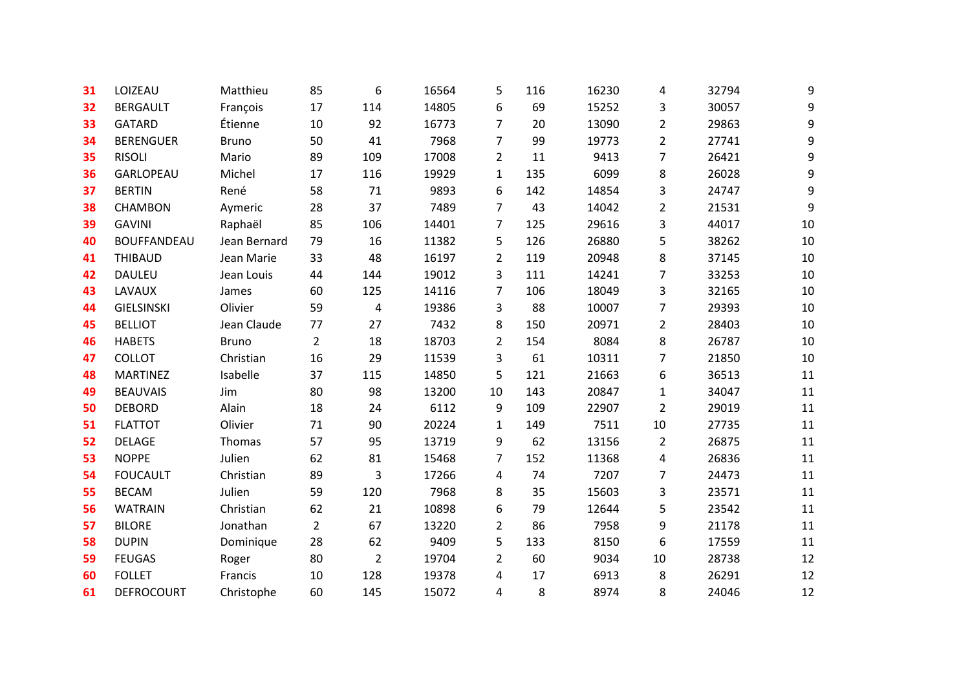| 31 | LOIZEAU            | Matthieu     | 85             | 6              | 16564 | 5              | 116 | 16230 | 4              | 32794 | 9  |
|----|--------------------|--------------|----------------|----------------|-------|----------------|-----|-------|----------------|-------|----|
| 32 | <b>BERGAULT</b>    | François     | 17             | 114            | 14805 | 6              | 69  | 15252 | 3              | 30057 | 9  |
| 33 | <b>GATARD</b>      | Étienne      | 10             | 92             | 16773 | 7              | 20  | 13090 | $\overline{2}$ | 29863 | 9  |
| 34 | <b>BERENGUER</b>   | <b>Bruno</b> | 50             | 41             | 7968  | 7              | 99  | 19773 | $\overline{2}$ | 27741 | 9  |
| 35 | <b>RISOLI</b>      | Mario        | 89             | 109            | 17008 | $\overline{2}$ | 11  | 9413  | $\overline{7}$ | 26421 | 9  |
| 36 | GARLOPEAU          | Michel       | 17             | 116            | 19929 | 1              | 135 | 6099  | 8              | 26028 | 9  |
| 37 | <b>BERTIN</b>      | René         | 58             | 71             | 9893  | 6              | 142 | 14854 | 3              | 24747 | 9  |
| 38 | <b>CHAMBON</b>     | Aymeric      | 28             | 37             | 7489  | $\overline{7}$ | 43  | 14042 | $\overline{2}$ | 21531 | 9  |
| 39 | <b>GAVINI</b>      | Raphaël      | 85             | 106            | 14401 | 7              | 125 | 29616 | 3              | 44017 | 10 |
| 40 | <b>BOUFFANDEAU</b> | Jean Bernard | 79             | 16             | 11382 | 5              | 126 | 26880 | 5              | 38262 | 10 |
| 41 | <b>THIBAUD</b>     | Jean Marie   | 33             | 48             | 16197 | $\overline{2}$ | 119 | 20948 | 8              | 37145 | 10 |
| 42 | <b>DAULEU</b>      | Jean Louis   | 44             | 144            | 19012 | 3              | 111 | 14241 | $\overline{7}$ | 33253 | 10 |
| 43 | LAVAUX             | James        | 60             | 125            | 14116 | 7              | 106 | 18049 | 3              | 32165 | 10 |
| 44 | <b>GIELSINSKI</b>  | Olivier      | 59             | 4              | 19386 | 3              | 88  | 10007 | $\overline{7}$ | 29393 | 10 |
| 45 | <b>BELLIOT</b>     | Jean Claude  | 77             | 27             | 7432  | 8              | 150 | 20971 | $\overline{2}$ | 28403 | 10 |
| 46 | <b>HABETS</b>      | <b>Bruno</b> | $\overline{2}$ | 18             | 18703 | $\overline{2}$ | 154 | 8084  | 8              | 26787 | 10 |
| 47 | <b>COLLOT</b>      | Christian    | 16             | 29             | 11539 | 3              | 61  | 10311 | $\overline{7}$ | 21850 | 10 |
| 48 | <b>MARTINEZ</b>    | Isabelle     | 37             | 115            | 14850 | 5              | 121 | 21663 | 6              | 36513 | 11 |
| 49 | <b>BEAUVAIS</b>    | Jim          | 80             | 98             | 13200 | 10             | 143 | 20847 | 1              | 34047 | 11 |
| 50 | <b>DEBORD</b>      | Alain        | 18             | 24             | 6112  | 9              | 109 | 22907 | $\overline{2}$ | 29019 | 11 |
| 51 | <b>FLATTOT</b>     | Olivier      | 71             | 90             | 20224 | $\mathbf{1}$   | 149 | 7511  | 10             | 27735 | 11 |
| 52 | <b>DELAGE</b>      | Thomas       | 57             | 95             | 13719 | 9              | 62  | 13156 | $\overline{2}$ | 26875 | 11 |
| 53 | <b>NOPPE</b>       | Julien       | 62             | 81             | 15468 | $\overline{7}$ | 152 | 11368 | 4              | 26836 | 11 |
| 54 | <b>FOUCAULT</b>    | Christian    | 89             | 3              | 17266 | 4              | 74  | 7207  | $\overline{7}$ | 24473 | 11 |
| 55 | <b>BECAM</b>       | Julien       | 59             | 120            | 7968  | 8              | 35  | 15603 | 3              | 23571 | 11 |
| 56 | <b>WATRAIN</b>     | Christian    | 62             | 21             | 10898 | 6              | 79  | 12644 | 5              | 23542 | 11 |
| 57 | <b>BILORE</b>      | Jonathan     | $\overline{2}$ | 67             | 13220 | $\overline{2}$ | 86  | 7958  | 9              | 21178 | 11 |
| 58 | <b>DUPIN</b>       | Dominique    | 28             | 62             | 9409  | 5              | 133 | 8150  | 6              | 17559 | 11 |
| 59 | <b>FEUGAS</b>      | Roger        | 80             | $\overline{2}$ | 19704 | $\overline{2}$ | 60  | 9034  | 10             | 28738 | 12 |
| 60 | <b>FOLLET</b>      | Francis      | 10             | 128            | 19378 | 4              | 17  | 6913  | 8              | 26291 | 12 |
| 61 | <b>DEFROCOURT</b>  | Christophe   | 60             | 145            | 15072 | 4              | 8   | 8974  | 8              | 24046 | 12 |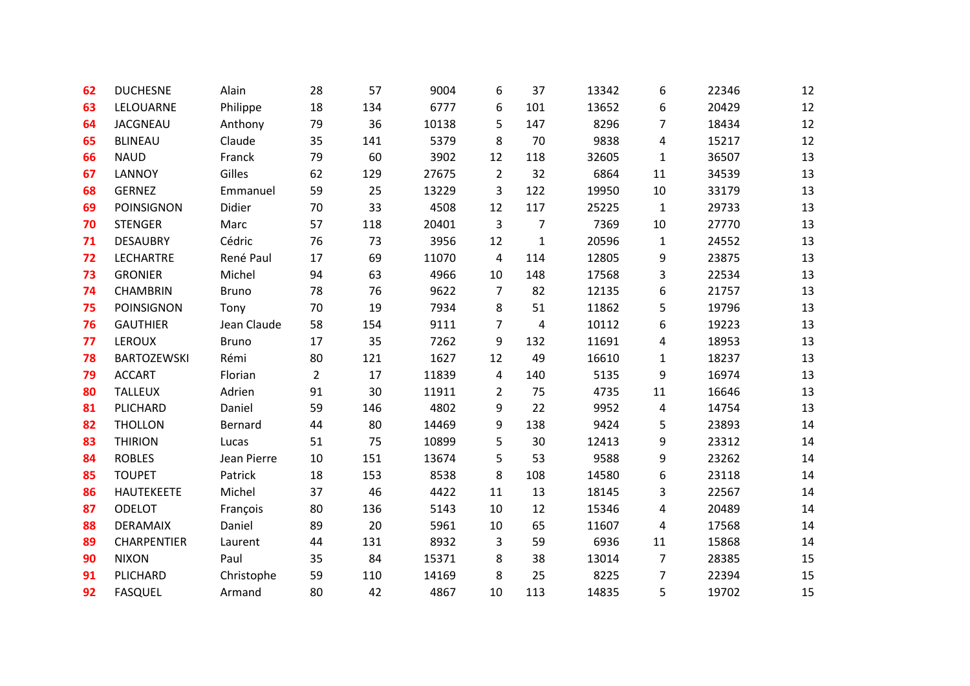| 62 | <b>DUCHESNE</b>    | Alain        | 28             | 57  | 9004  | 6              | 37           | 13342 | 6            | 22346 | 12 |
|----|--------------------|--------------|----------------|-----|-------|----------------|--------------|-------|--------------|-------|----|
| 63 | LELOUARNE          | Philippe     | 18             | 134 | 6777  | 6              | 101          | 13652 | 6            | 20429 | 12 |
| 64 | <b>JACGNEAU</b>    | Anthony      | 79             | 36  | 10138 | 5              | 147          | 8296  | 7            | 18434 | 12 |
| 65 | <b>BLINEAU</b>     | Claude       | 35             | 141 | 5379  | 8              | 70           | 9838  | 4            | 15217 | 12 |
| 66 | <b>NAUD</b>        | Franck       | 79             | 60  | 3902  | 12             | 118          | 32605 | 1            | 36507 | 13 |
| 67 | <b>LANNOY</b>      | Gilles       | 62             | 129 | 27675 | $\overline{2}$ | 32           | 6864  | 11           | 34539 | 13 |
| 68 | <b>GERNEZ</b>      | Emmanuel     | 59             | 25  | 13229 | 3              | 122          | 19950 | 10           | 33179 | 13 |
| 69 | <b>POINSIGNON</b>  | Didier       | 70             | 33  | 4508  | 12             | 117          | 25225 | $\mathbf{1}$ | 29733 | 13 |
| 70 | <b>STENGER</b>     | Marc         | 57             | 118 | 20401 | 3              | 7            | 7369  | 10           | 27770 | 13 |
| 71 | <b>DESAUBRY</b>    | Cédric       | 76             | 73  | 3956  | 12             | $\mathbf{1}$ | 20596 | $\mathbf{1}$ | 24552 | 13 |
| 72 | <b>LECHARTRE</b>   | René Paul    | 17             | 69  | 11070 | 4              | 114          | 12805 | 9            | 23875 | 13 |
| 73 | <b>GRONIER</b>     | Michel       | 94             | 63  | 4966  | 10             | 148          | 17568 | 3            | 22534 | 13 |
| 74 | <b>CHAMBRIN</b>    | <b>Bruno</b> | 78             | 76  | 9622  | $\overline{7}$ | 82           | 12135 | 6            | 21757 | 13 |
| 75 | <b>POINSIGNON</b>  | Tony         | 70             | 19  | 7934  | 8              | 51           | 11862 | 5            | 19796 | 13 |
| 76 | <b>GAUTHIER</b>    | Jean Claude  | 58             | 154 | 9111  | 7              | 4            | 10112 | 6            | 19223 | 13 |
| 77 | <b>LEROUX</b>      | <b>Bruno</b> | 17             | 35  | 7262  | 9              | 132          | 11691 | 4            | 18953 | 13 |
| 78 | <b>BARTOZEWSKI</b> | Rémi         | 80             | 121 | 1627  | 12             | 49           | 16610 | $\mathbf{1}$ | 18237 | 13 |
| 79 | <b>ACCART</b>      | Florian      | $\overline{2}$ | 17  | 11839 | 4              | 140          | 5135  | 9            | 16974 | 13 |
| 80 | <b>TALLEUX</b>     | Adrien       | 91             | 30  | 11911 | 2              | 75           | 4735  | 11           | 16646 | 13 |
| 81 | PLICHARD           | Daniel       | 59             | 146 | 4802  | 9              | 22           | 9952  | 4            | 14754 | 13 |
| 82 | <b>THOLLON</b>     | Bernard      | 44             | 80  | 14469 | 9              | 138          | 9424  | 5            | 23893 | 14 |
| 83 | <b>THIRION</b>     | Lucas        | 51             | 75  | 10899 | 5              | 30           | 12413 | 9            | 23312 | 14 |
| 84 | <b>ROBLES</b>      | Jean Pierre  | $10\,$         | 151 | 13674 | 5              | 53           | 9588  | 9            | 23262 | 14 |
| 85 | <b>TOUPET</b>      | Patrick      | 18             | 153 | 8538  | 8              | 108          | 14580 | 6            | 23118 | 14 |
| 86 | <b>HAUTEKEETE</b>  | Michel       | 37             | 46  | 4422  | 11             | 13           | 18145 | 3            | 22567 | 14 |
| 87 | <b>ODELOT</b>      | François     | 80             | 136 | 5143  | 10             | 12           | 15346 | 4            | 20489 | 14 |
| 88 | DERAMAIX           | Daniel       | 89             | 20  | 5961  | 10             | 65           | 11607 | 4            | 17568 | 14 |
| 89 | CHARPENTIER        | Laurent      | 44             | 131 | 8932  | 3              | 59           | 6936  | 11           | 15868 | 14 |
| 90 | <b>NIXON</b>       | Paul         | 35             | 84  | 15371 | 8              | 38           | 13014 | 7            | 28385 | 15 |
| 91 | PLICHARD           | Christophe   | 59             | 110 | 14169 | 8              | 25           | 8225  | 7            | 22394 | 15 |
| 92 | <b>FASQUEL</b>     | Armand       | 80             | 42  | 4867  | 10             | 113          | 14835 | 5            | 19702 | 15 |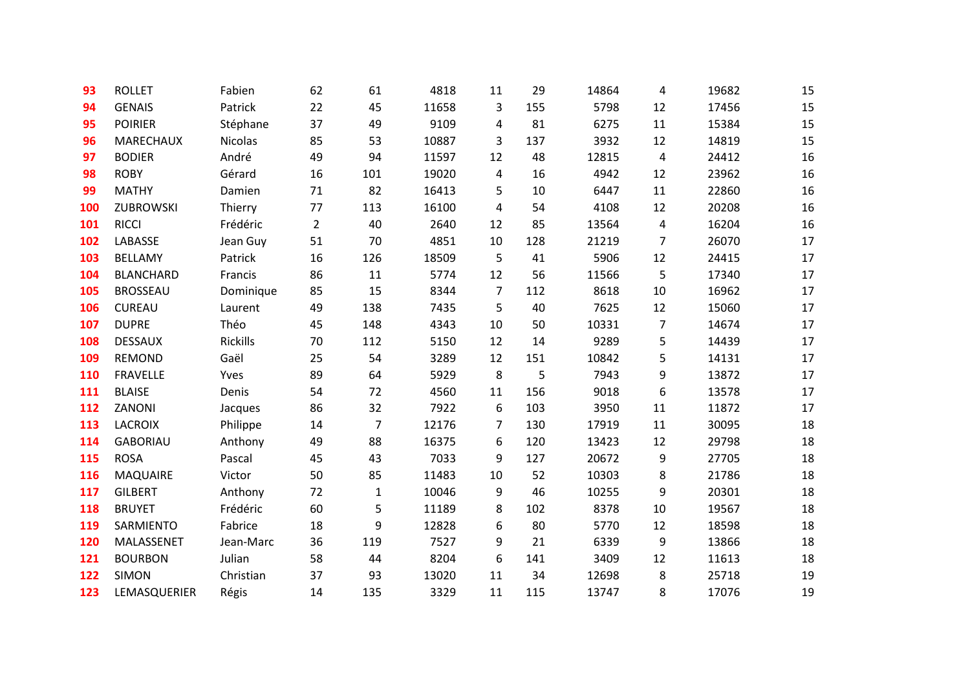| 93  | <b>ROLLET</b>    | Fabien    | 62             | 61           | 4818  | 11             | 29  | 14864 | 4              | 19682 | 15 |
|-----|------------------|-----------|----------------|--------------|-------|----------------|-----|-------|----------------|-------|----|
| 94  | <b>GENAIS</b>    | Patrick   | 22             | 45           | 11658 | 3              | 155 | 5798  | 12             | 17456 | 15 |
| 95  | <b>POIRIER</b>   | Stéphane  | 37             | 49           | 9109  | 4              | 81  | 6275  | 11             | 15384 | 15 |
| 96  | MARECHAUX        | Nicolas   | 85             | 53           | 10887 | 3              | 137 | 3932  | 12             | 14819 | 15 |
| 97  | <b>BODIER</b>    | André     | 49             | 94           | 11597 | 12             | 48  | 12815 | 4              | 24412 | 16 |
| 98  | <b>ROBY</b>      | Gérard    | 16             | 101          | 19020 | 4              | 16  | 4942  | 12             | 23962 | 16 |
| 99  | <b>MATHY</b>     | Damien    | 71             | 82           | 16413 | 5              | 10  | 6447  | 11             | 22860 | 16 |
| 100 | ZUBROWSKI        | Thierry   | 77             | 113          | 16100 | 4              | 54  | 4108  | 12             | 20208 | 16 |
| 101 | <b>RICCI</b>     | Frédéric  | $\overline{2}$ | 40           | 2640  | 12             | 85  | 13564 | 4              | 16204 | 16 |
| 102 | LABASSE          | Jean Guy  | 51             | 70           | 4851  | 10             | 128 | 21219 | $\overline{7}$ | 26070 | 17 |
| 103 | <b>BELLAMY</b>   | Patrick   | 16             | 126          | 18509 | 5              | 41  | 5906  | 12             | 24415 | 17 |
| 104 | <b>BLANCHARD</b> | Francis   | 86             | 11           | 5774  | 12             | 56  | 11566 | 5              | 17340 | 17 |
| 105 | <b>BROSSEAU</b>  | Dominique | 85             | 15           | 8344  | $\overline{7}$ | 112 | 8618  | 10             | 16962 | 17 |
| 106 | <b>CUREAU</b>    | Laurent   | 49             | 138          | 7435  | 5              | 40  | 7625  | 12             | 15060 | 17 |
| 107 | <b>DUPRE</b>     | Théo      | 45             | 148          | 4343  | 10             | 50  | 10331 | $\overline{7}$ | 14674 | 17 |
| 108 | <b>DESSAUX</b>   | Rickills  | 70             | 112          | 5150  | 12             | 14  | 9289  | 5              | 14439 | 17 |
| 109 | REMOND           | Gaël      | 25             | 54           | 3289  | 12             | 151 | 10842 | 5              | 14131 | 17 |
| 110 | <b>FRAVELLE</b>  | Yves      | 89             | 64           | 5929  | 8              | 5   | 7943  | 9              | 13872 | 17 |
| 111 | <b>BLAISE</b>    | Denis     | 54             | 72           | 4560  | 11             | 156 | 9018  | 6              | 13578 | 17 |
| 112 | ZANONI           | Jacques   | 86             | 32           | 7922  | 6              | 103 | 3950  | 11             | 11872 | 17 |
| 113 | <b>LACROIX</b>   | Philippe  | 14             | 7            | 12176 | 7              | 130 | 17919 | 11             | 30095 | 18 |
| 114 | <b>GABORIAU</b>  | Anthony   | 49             | 88           | 16375 | 6              | 120 | 13423 | 12             | 29798 | 18 |
| 115 | <b>ROSA</b>      | Pascal    | 45             | 43           | 7033  | 9              | 127 | 20672 | 9              | 27705 | 18 |
| 116 | <b>MAQUAIRE</b>  | Victor    | 50             | 85           | 11483 | 10             | 52  | 10303 | 8              | 21786 | 18 |
| 117 | <b>GILBERT</b>   | Anthony   | 72             | $\mathbf{1}$ | 10046 | 9              | 46  | 10255 | 9              | 20301 | 18 |
| 118 | <b>BRUYET</b>    | Frédéric  | 60             | 5            | 11189 | 8              | 102 | 8378  | 10             | 19567 | 18 |
| 119 | SARMIENTO        | Fabrice   | 18             | 9            | 12828 | 6              | 80  | 5770  | 12             | 18598 | 18 |
| 120 | MALASSENET       | Jean-Marc | 36             | 119          | 7527  | 9              | 21  | 6339  | 9              | 13866 | 18 |
| 121 | <b>BOURBON</b>   | Julian    | 58             | 44           | 8204  | 6              | 141 | 3409  | 12             | 11613 | 18 |
| 122 | <b>SIMON</b>     | Christian | 37             | 93           | 13020 | 11             | 34  | 12698 | 8              | 25718 | 19 |
| 123 | LEMASQUERIER     | Régis     | 14             | 135          | 3329  | 11             | 115 | 13747 | 8              | 17076 | 19 |